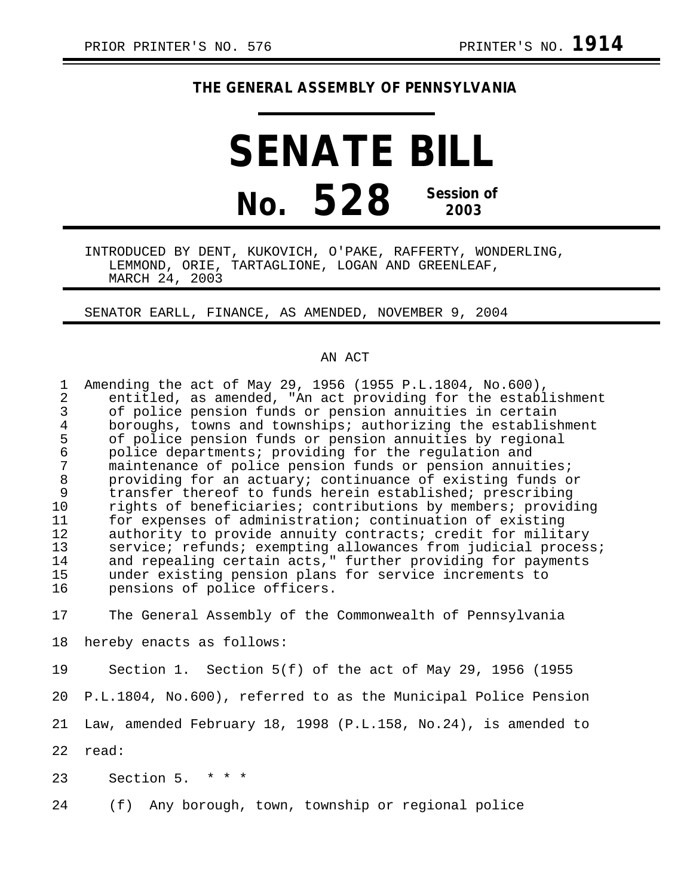## **THE GENERAL ASSEMBLY OF PENNSYLVANIA**

## **SENATE BILL No. 528 Session of 2003**

INTRODUCED BY DENT, KUKOVICH, O'PAKE, RAFFERTY, WONDERLING, LEMMOND, ORIE, TARTAGLIONE, LOGAN AND GREENLEAF, MARCH 24, 2003

SENATOR EARLL, FINANCE, AS AMENDED, NOVEMBER 9, 2004

## AN ACT

| $\mathbf{1}$   | Amending the act of May 29, 1956 (1955 P.L.1804, No.600),      |
|----------------|----------------------------------------------------------------|
| $\overline{a}$ | entitled, as amended, "An act providing for the establishment  |
| 3              | of police pension funds or pension annuities in certain        |
| $\overline{4}$ | boroughs, towns and townships; authorizing the establishment   |
| 5              | of police pension funds or pension annuities by regional       |
| $\epsilon$     | police departments; providing for the regulation and           |
| 7              | maintenance of police pension funds or pension annuities;      |
| $\, 8$         | providing for an actuary; continuance of existing funds or     |
| 9              | transfer thereof to funds herein established; prescribing      |
| 10             | rights of beneficiaries; contributions by members; providing   |
| 11             | for expenses of administration; continuation of existing       |
| 12             | authority to provide annuity contracts; credit for military    |
| 13             | service; refunds; exempting allowances from judicial process;  |
| 14             | and repealing certain acts," further providing for payments    |
| 15             | under existing pension plans for service increments to         |
| 16             | pensions of police officers.                                   |
|                |                                                                |
| 17             | The General Assembly of the Commonwealth of Pennsylvania       |
| 18             |                                                                |
|                | hereby enacts as follows:                                      |
| 19             | Section 1. Section $5(f)$ of the act of May 29, 1956 (1955     |
|                |                                                                |
| 20             | P.L.1804, No.600), referred to as the Municipal Police Pension |

21 Law, amended February 18, 1998 (P.L.158, No.24), is amended to

22 read:

23 Section 5. \* \* \*

24 (f) Any borough, town, township or regional police